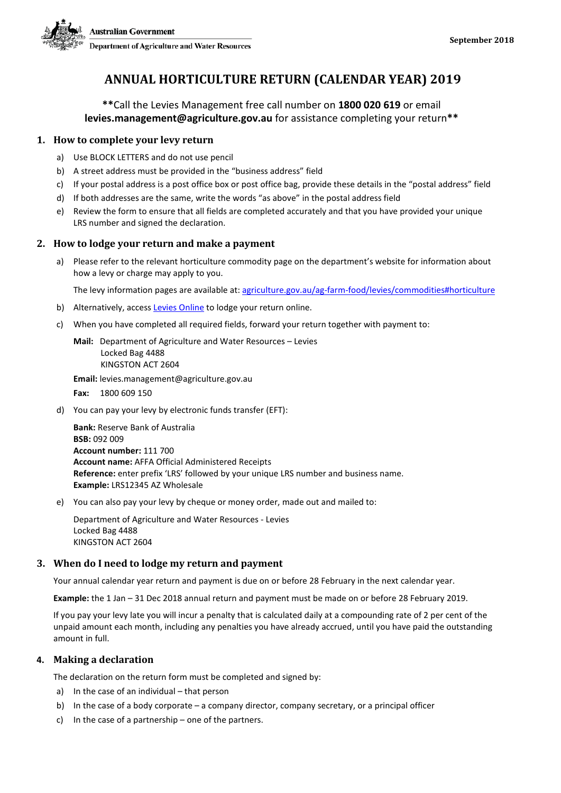

### **ANNUAL HORTICULTURE RETURN (CALENDAR YEAR) 2019**

**\*\***Call the Levies Management free call number on **1800 020 619** or email **levies.management@agriculture.gov.au** for assistance completing your return**\*\***

#### **1. How to complete your levy return**

- a) Use BLOCK LETTERS and do not use pencil
- b) A street address must be provided in the "business address" field
- c) If your postal address is a post office box or post office bag, provide these details in the "postal address" field
- d) If both addresses are the same, write the words "as above" in the postal address field
- e) Review the form to ensure that all fields are completed accurately and that you have provided your unique LRS number and signed the declaration.

#### **2. How to lodge your return and make a payment**

a) Please refer to the relevant horticulture commodity page on the department's website for information about how a levy or charge may apply to you.

The levy information pages are available at: [agriculture.gov.au/ag-farm-food/levies/commodities#horticulture](http://www.agriculture.gov.au/ag-farm-food/levies/commodities%23horticulture)

- b) Alternatively, access [Levies Online](https://leviesonline.agriculture.gov.au/LRSONLINE/LRSOL_Start/LRSOL_Home.aspx?ck=382142505790) to lodge your return online.
- c) When you have completed all required fields, forward your return together with payment to:

**Mail:** Department of Agriculture and Water Resources – Levies Locked Bag 4488 KINGSTON ACT 2604

**Email:** levies.management@agriculture.gov.au

**Fax:** 1800 609 150

d) You can pay your levy by electronic funds transfer (EFT):

**Bank:** Reserve Bank of Australia **BSB:** 092 009 **Account number:** 111 700 **Account name:** AFFA Official Administered Receipts **Reference:** enter prefix 'LRS' followed by your unique LRS number and business name. **Example:** LRS12345 AZ Wholesale

e) You can also pay your levy by cheque or money order, made out and mailed to:

Department of Agriculture and Water Resources - Levies Locked Bag 4488 KINGSTON ACT 2604

#### **3. When do I need to lodge my return and payment**

Your annual calendar year return and payment is due on or before 28 February in the next calendar year.

**Example:** the 1 Jan – 31 Dec 2018 annual return and payment must be made on or before 28 February 2019.

If you pay your levy late you will incur a penalty that is calculated daily at a compounding rate of 2 per cent of the unpaid amount each month, including any penalties you have already accrued, until you have paid the outstanding amount in full.

#### **4. Making a declaration**

The declaration on the return form must be completed and signed by:

- a) In the case of an individual that person
- b) In the case of a body corporate a company director, company secretary, or a principal officer
- c) In the case of a partnership one of the partners.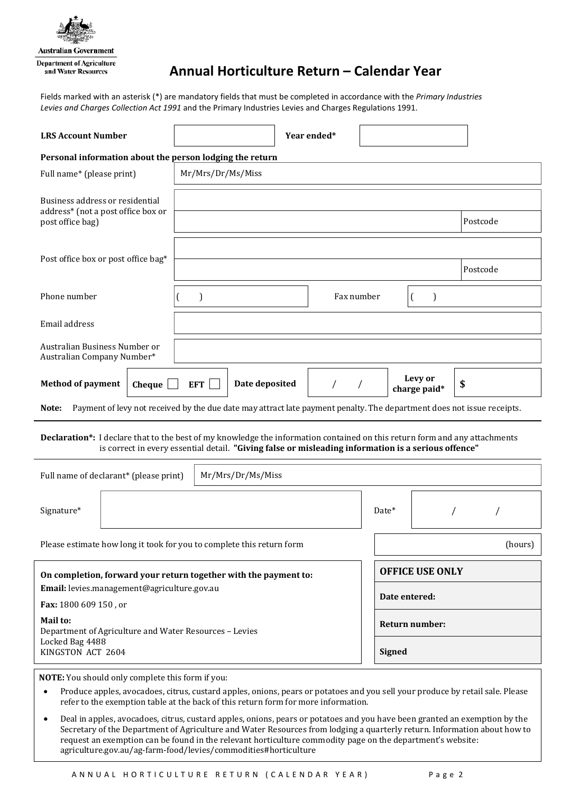

**Australian Government Department of Agriculture** and Water Resources

# **Annual Horticulture Return – Calendar Year**

Fields marked with an asterisk (\*) are mandatory fields that must be completed in accordance with the *Primary Industries Levies and Charges Collection Act 1991* and the Primary Industries Levies and Charges Regulations 1991.

| <b>LRS Account Number</b>                                                                                                                                                                                                         |                              | Year ended* |                        |                         |    |  |  |
|-----------------------------------------------------------------------------------------------------------------------------------------------------------------------------------------------------------------------------------|------------------------------|-------------|------------------------|-------------------------|----|--|--|
| Personal information about the person lodging the return                                                                                                                                                                          |                              |             |                        |                         |    |  |  |
| Full name* (please print)                                                                                                                                                                                                         | Mr/Mrs/Dr/Ms/Miss            |             |                        |                         |    |  |  |
| Business address or residential<br>address* (not a post office box or                                                                                                                                                             |                              |             |                        |                         |    |  |  |
| post office bag)                                                                                                                                                                                                                  |                              | Postcode    |                        |                         |    |  |  |
| Post office box or post office bag*                                                                                                                                                                                               |                              |             |                        |                         |    |  |  |
|                                                                                                                                                                                                                                   |                              | Postcode    |                        |                         |    |  |  |
| Phone number                                                                                                                                                                                                                      |                              | Fax number  |                        | €                       |    |  |  |
| Email address                                                                                                                                                                                                                     |                              |             |                        |                         |    |  |  |
| Australian Business Number or<br>Australian Company Number*                                                                                                                                                                       |                              |             |                        |                         |    |  |  |
| <b>Method of payment</b><br>Cheque                                                                                                                                                                                                | <b>EFT</b><br>Date deposited | $\sqrt{2}$  |                        | Levy or<br>charge paid* | \$ |  |  |
| Payment of levy not received by the due date may attract late payment penalty. The department does not issue receipts.<br>Note:                                                                                                   |                              |             |                        |                         |    |  |  |
| Declaration*: I declare that to the best of my knowledge the information contained on this return form and any attachments<br>is correct in every essential detail. "Giving false or misleading information is a serious offence" |                              |             |                        |                         |    |  |  |
| Full name of declarant* (please print)<br>Mr/Mrs/Dr/Ms/Miss                                                                                                                                                                       |                              |             |                        |                         |    |  |  |
| Signature*                                                                                                                                                                                                                        | Date*                        |             |                        |                         |    |  |  |
| Please estimate how long it took for you to complete this return form<br>(hours)                                                                                                                                                  |                              |             |                        |                         |    |  |  |
| On completion, forward your return together with the payment to:                                                                                                                                                                  |                              |             | <b>OFFICE USE ONLY</b> |                         |    |  |  |
| Email: levies.management@agriculture.gov.au                                                                                                                                                                                       |                              |             | Date entered:          |                         |    |  |  |
| Fax: 1800 609 150, or                                                                                                                                                                                                             |                              |             |                        |                         |    |  |  |
| Mail to:<br>Department of Agriculture and Water Resources - Levies<br>Locked Bag 4488                                                                                                                                             |                              |             | Return number:         |                         |    |  |  |
| KINGSTON ACT 2604                                                                                                                                                                                                                 |                              |             |                        | <b>Signed</b>           |    |  |  |

**NOTE:** You should only complete this form if you:

- Produce apples, avocadoes, citrus, custard apples, onions, pears or potatoes and you sell your produce by retail sale. Please refer to the exemption table at the back of this return form for more information.
- Deal in apples, avocadoes, citrus, custard apples, onions, pears or potatoes and you have been granted an exemption by the Secretary of the Department of Agriculture and Water Resources from lodging a quarterly return. Information about how to request an exemption can be found in the relevant horticulture commodity page on the department's website: agriculture.gov.au/ag-farm-food/levies/commodities#horticulture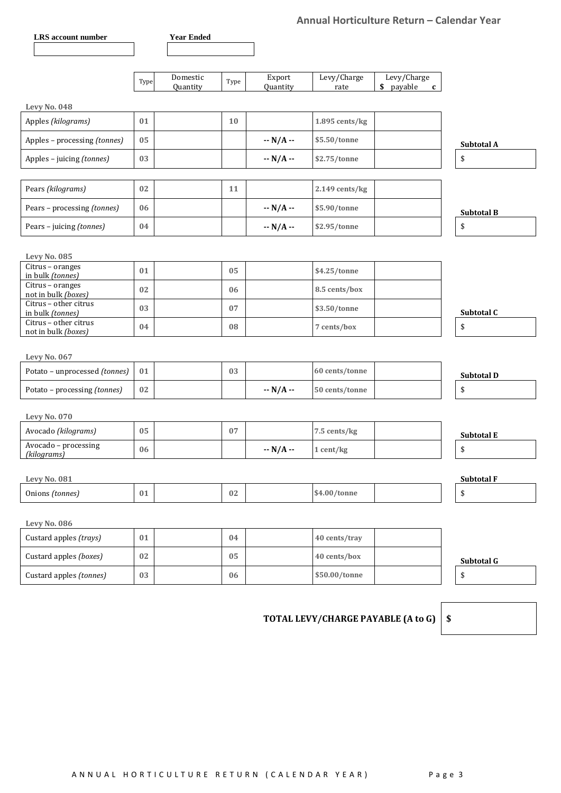### **Annual Horticulture Return – Calendar Year**

|                                                      |        |                      |        |                    |                     | Annual Horticulture Return – Calendar Year |                   |
|------------------------------------------------------|--------|----------------------|--------|--------------------|---------------------|--------------------------------------------|-------------------|
| LRS account number                                   |        | <b>Year Ended</b>    |        |                    |                     |                                            |                   |
|                                                      |        |                      |        |                    |                     |                                            |                   |
|                                                      | Type   | Domestic<br>Quantity | Type   | Export<br>Quantity | Levy/Charge<br>rate | Levy/Charge<br>\$ payable<br>$\mathbf{c}$  |                   |
| <b>Levy No. 048</b>                                  |        |                      |        |                    |                     |                                            |                   |
| Apples (kilograms)                                   | 01     |                      | 10     |                    | 1.895 cents/kg      |                                            |                   |
| Apples - processing (tonnes)                         | 05     |                      |        | $- N/A -$          | \$5.50/tonne        |                                            | Subtotal A        |
| Apples - juicing (tonnes)                            | 03     |                      |        | $- N/A -$          | \$2.75/tonne        |                                            | \$                |
| Pears (kilograms)                                    | 02     |                      | 11     |                    | 2.149 cents/kg      |                                            |                   |
| Pears - processing (tonnes)                          | 06     |                      |        | $- N/A -$          | \$5.90/tonne        |                                            | <b>Subtotal B</b> |
| Pears - juicing (tonnes)                             | 04     |                      |        | $- N/A -$          | \$2.95/tonne        |                                            | \$                |
|                                                      |        |                      |        |                    |                     |                                            |                   |
| Levy No. 085<br>Citrus - oranges<br>in bulk (tonnes) | 01     |                      | 05     |                    | \$4.25/tonne        |                                            |                   |
| Citrus - oranges<br>not in bulk (boxes)              | 02     |                      | 06     |                    | 8.5 cents/box       |                                            |                   |
| Citrus - other citrus<br>in bulk (tonnes)            | 03     |                      | 07     |                    | \$3.50/tonne        |                                            | Subtotal C        |
| Citrus - other citrus<br>not in bulk (boxes)         | 04     |                      | 08     |                    | 7 cents/box         |                                            | \$                |
|                                                      |        |                      |        |                    |                     |                                            |                   |
| Levy No. 067                                         |        |                      |        |                    |                     |                                            |                   |
| Potato - unprocessed (tonnes)                        | 01     |                      | 03     |                    | 60 cents/tonne      |                                            | Subtotal D        |
| Potato - processing (tonnes)                         | 02     |                      |        | $- N/A -$          | 50 cents/tonne      |                                            | \$                |
| <b>Levy No. 070</b>                                  |        |                      |        |                    |                     |                                            |                   |
| Avocado (kilograms)                                  | 05     |                      | 07     |                    | 7.5 cents/kg        |                                            | <b>Subtotal E</b> |
| Avocado – processing<br>(kilograms)                  | 06     |                      |        | $- N/A -$          | 1 cent/kg           |                                            | \$                |
|                                                      |        |                      |        |                    |                     |                                            |                   |
| <b>Levy No. 081</b>                                  |        |                      |        |                    |                     |                                            | Subtotal F        |
| Onions (tonnes)                                      | 01     |                      | 02     |                    | \$4.00/tonne        |                                            | \$                |
| <b>Levy No. 086</b>                                  |        |                      |        |                    |                     |                                            |                   |
| Custard apples (trays)                               | 01     |                      | 04     |                    | 40 cents/tray       |                                            |                   |
| Custard apples (boxes)                               | $02\,$ |                      | $05\,$ |                    | 40 cents/box        |                                            | Subtotal G        |
| Custard apples (tonnes)                              | 03     |                      | 06     |                    | \$50.00/tonne       |                                            | \$                |
|                                                      |        |                      |        |                    |                     |                                            |                   |

## **TOTAL LEVY/CHARGE PAYABLE (A to G) \$**